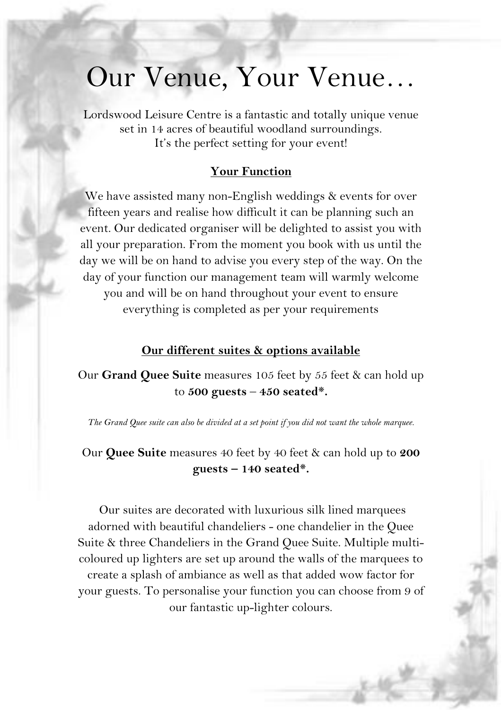## Our Venue, Your Venue…

Lordswood Leisure Centre is a fantastic and totally unique venue set in 14 acres of beautiful woodland surroundings. It's the perfect setting for your event!

### **Your Function**

We have assisted many non-English weddings & events for over fifteen years and realise how difficult it can be planning such an event. Our dedicated organiser will be delighted to assist you with all your preparation. From the moment you book with us until the day we will be on hand to advise you every step of the way. On the day of your function our management team will warmly welcome you and will be on hand throughout your event to ensure everything is completed as per your requirements

### **Our different suites & options available**

Our **Grand Quee Suite** measures 105 feet by 55 feet & can hold up to **500 guests** – **450 seated\*.**

*The Grand Quee suite can also be divided at a set point if you did not want the whole marquee.* 

Our **Quee Suite** measures 40 feet by 40 feet & can hold up to **200 guests – 140 seated\*.**

Our suites are decorated with luxurious silk lined marquees adorned with beautiful chandeliers - one chandelier in the Quee Suite & three Chandeliers in the Grand Quee Suite. Multiple multicoloured up lighters are set up around the walls of the marquees to create a splash of ambiance as well as that added wow factor for your guests. To personalise your function you can choose from 9 of our fantastic up-lighter colours.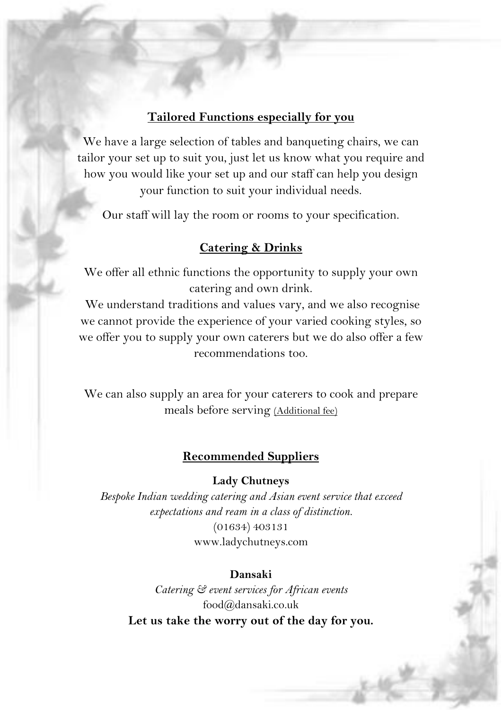### **Tailored Functions especially for you**

We have a large selection of tables and banqueting chairs, we can tailor your set up to suit you, just let us know what you require and how you would like your set up and our staff can help you design your function to suit your individual needs.

Our staff will lay the room or rooms to your specification.

### **Catering & Drinks**

We offer all ethnic functions the opportunity to supply your own catering and own drink.

We understand traditions and values vary, and we also recognise we cannot provide the experience of your varied cooking styles, so we offer you to supply your own caterers but we do also offer a few recommendations too.

We can also supply an area for your caterers to cook and prepare meals before serving (Additional fee)

### **Recommended Suppliers**

#### **Lady Chutneys**

*Bespoke Indian wedding catering and Asian event service that exceed expectations and ream in a class of distinction.* (01634) 403131 www.ladychutneys.com

#### **Dansaki**

*Catering & event services for African events* food@dansaki.co.uk **Let us take the worry out of the day for you.**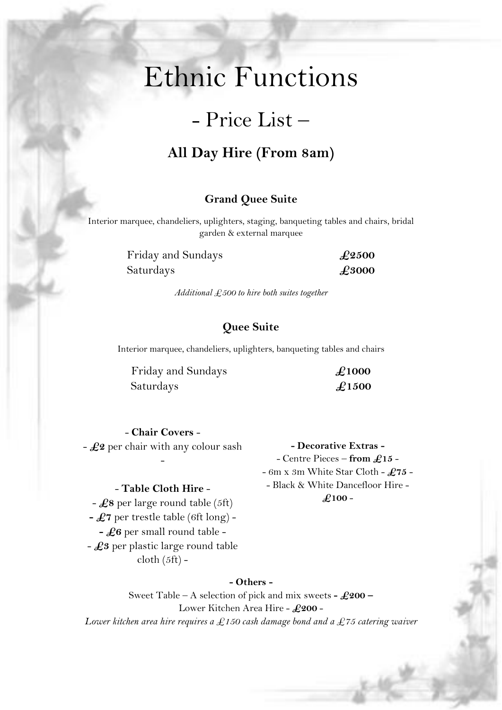# Ethnic Functions

### - Price List –

### **All Day Hire (From 8am)**

### **Grand Quee Suite**

Interior marquee, chandeliers, uplighters, staging, banqueting tables and chairs, bridal garden & external marquee

> Friday and Sundays **£2500** Saturdays **£3000**

*Additional £500 to hire both suites together*

### **Quee Suite**

Interior marquee, chandeliers, uplighters, banqueting tables and chairs

Friday and Sundays **£1000** Saturdays **£1500** 

> **- Decorative Extras -** - Centre Pieces – **from £15** - - 6m x 3m White Star Cloth - **£75** - - Black & White Dancefloor Hire - **£100** -

- **Chair Covers** - - **£2** per chair with any colour sash -

#### - **Table Cloth Hire** -

- **£8** per large round table (5ft) **- £7** per trestle table (6ft long) - **- £6** per small round table - - **£3** per plastic large round table  $\text{cloth}(5\text{ft})$  -

**- Others -**

Sweet Table – A selection of pick and mix sweets **- £200 –** Lower Kitchen Area Hire - **£200** - *Lower kitchen area hire requires a £150 cash damage bond and a £75 catering waiver*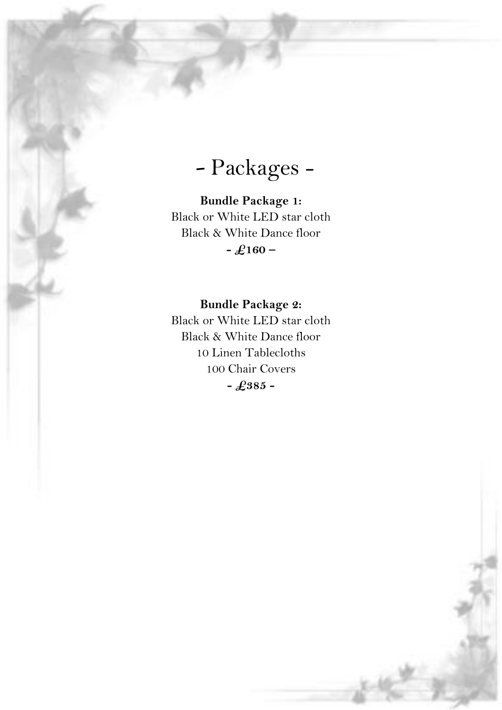Packages -

**Bundle Package 1:** Black or White LED star cloth Black & White Dance floor **- £160 –**

### **Bundle Package 2:**

Black or White LED star cloth Black & White Dance floor 10 Linen Tablecloths 100 Chair Covers **- £385 -**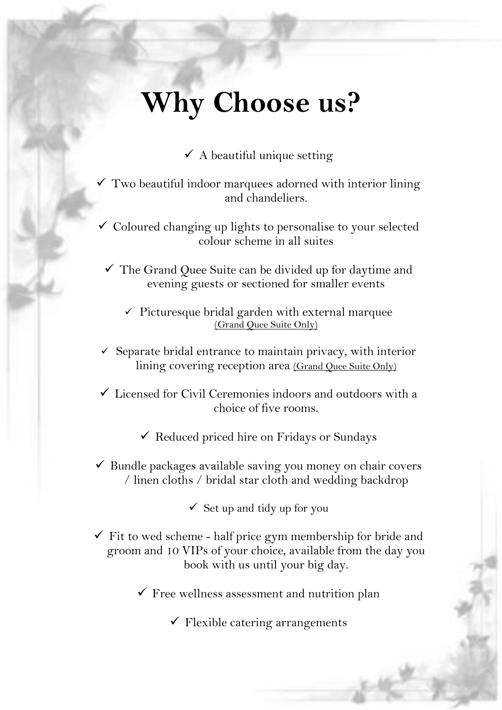# **Why Choose us?**

 $\checkmark$  A beautiful unique setting

 $\checkmark$  Two beautiful indoor marquees adorned with interior lining and chandeliers.

 $\checkmark$  Coloured changing up lights to personalise to your selected colour scheme in all suites

✓ The Grand Quee Suite can be divided up for daytime and evening guests or sectioned for smaller events

 $\checkmark$  Picturesque bridal garden with external marquee (Grand Quee Suite Only)

- $\checkmark$  Separate bridal entrance to maintain privacy, with interior lining covering reception area (Grand Quee Suite Only)
- $\checkmark$  Licensed for Civil Ceremonies indoors and outdoors with a choice of five rooms.

 $\checkmark$  Reduced priced hire on Fridays or Sundays

 $\checkmark$  Bundle packages available saving you money on chair covers / linen cloths / bridal star cloth and wedding backdrop

 $\checkmark$  Set up and tidy up for you

- $\checkmark$  Fit to wed scheme half price gym membership for bride and groom and 10 VIPs of your choice, available from the day you book with us until your big day.
	- $\checkmark$  Free wellness assessment and nutrition plan

 $\checkmark$  Flexible catering arrangements